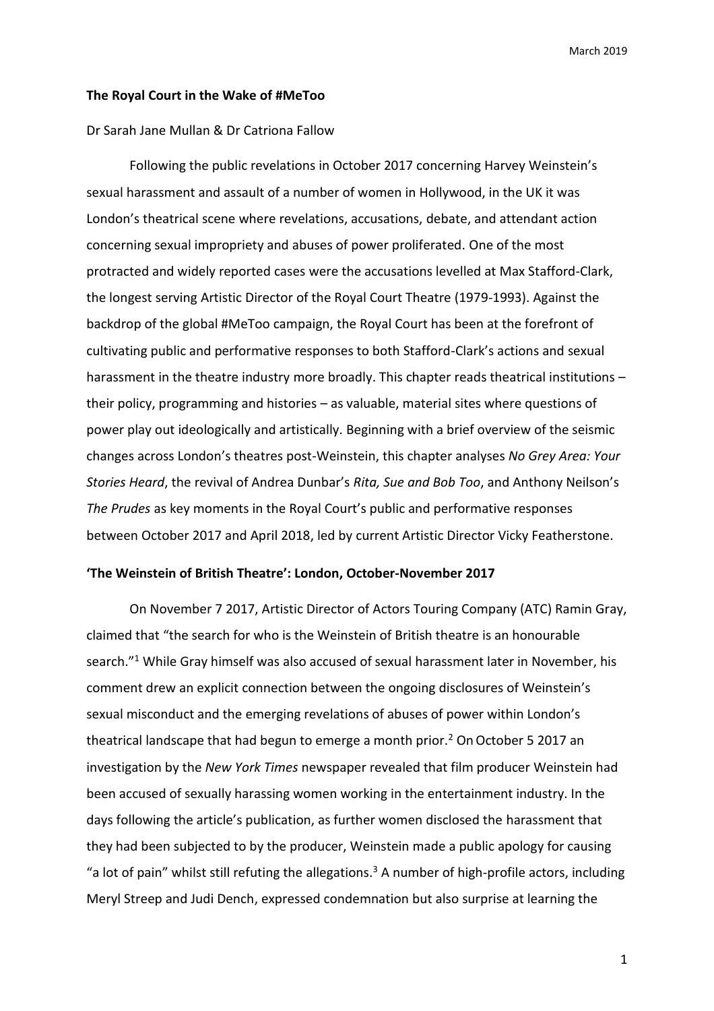#### **The Royal Court in the Wake of #MeToo**

# Dr Sarah Jane Mullan & Dr Catriona Fallow

Following the public revelations in October 2017 concerning Harvey Weinstein's sexual harassment and assault of a number of women in Hollywood, in the UK it was London's theatrical scene where revelations, accusations, debate, and attendant action concerning sexual impropriety and abuses of power proliferated. One of the most protracted and widely reported cases were the accusations levelled at Max Stafford-Clark, the longest serving Artistic Director of the Royal Court Theatre (1979-1993). Against the backdrop of the global #MeToo campaign, the Royal Court has been at the forefront of cultivating public and performative responses to both Stafford-Clark's actions and sexual harassment in the theatre industry more broadly. This chapter reads theatrical institutions – their policy, programming and histories – as valuable, material sites where questions of power play out ideologically and artistically. Beginning with a brief overview of the seismic changes across London's theatres post-Weinstein, this chapter analyses *No Grey Area: Your Stories Heard*, the revival of Andrea Dunbar's *Rita, Sue and Bob Too*, and Anthony Neilson's *The Prudes* as key moments in the Royal Court's public and performative responses between October 2017 and April 2018, led by current Artistic Director Vicky Featherstone.

## **'The Weinstein of British Theatre': London, October-November 2017**

On November 7 2017, Artistic Director of Actors Touring Company (ATC) Ramin Gray, claimed that "the search for who is the Weinstein of British theatre is an honourable search."<sup>1</sup> While Gray himself was also accused of sexual harassment later in November, his comment drew an explicit connection between the ongoing disclosures of Weinstein's sexual misconduct and the emerging revelations of abuses of power within London's theatrical landscape that had begun to emerge a month prior.<sup>2</sup> On October 5 2017 an investigation by the *New York Times* newspaper revealed that film producer Weinstein had been accused of sexually harassing women working in the entertainment industry. In the days following the article's publication, as further women disclosed the harassment that they had been subjected to by the producer, Weinstein made a public apology for causing "a lot of pain" whilst still refuting the allegations.<sup>3</sup> A number of high-profile actors, including Meryl Streep and Judi Dench, expressed condemnation but also surprise at learning the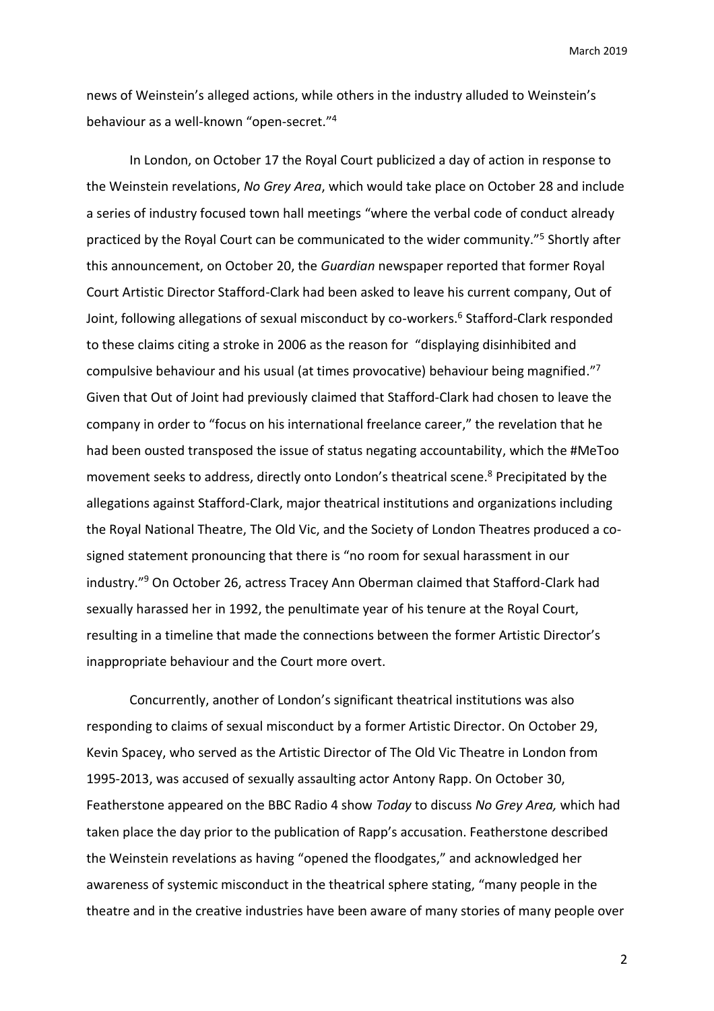news of Weinstein's alleged actions, while others in the industry alluded to Weinstein's behaviour as a well-known "open-secret."<sup>4</sup>

In London, on October 17 the Royal Court publicized a day of action in response to the Weinstein revelations, *No Grey Area*, which would take place on October 28 and include a series of industry focused town hall meetings "where the verbal code of conduct already practiced by the Royal Court can be communicated to the wider community."<sup>5</sup> Shortly after this announcement, on October 20, the *Guardian* newspaper reported that former Royal Court Artistic Director Stafford-Clark had been asked to leave his current company, Out of Joint, following allegations of sexual misconduct by co-workers.<sup>6</sup> Stafford-Clark responded to these claims citing a stroke in 2006 as the reason for "displaying disinhibited and compulsive behaviour and his usual (at times provocative) behaviour being magnified."<sup>7</sup> Given that Out of Joint had previously claimed that Stafford-Clark had chosen to leave the company in order to "focus on his international freelance career," the revelation that he had been ousted transposed the issue of status negating accountability, which the #MeToo movement seeks to address, directly onto London's theatrical scene.<sup>8</sup> Precipitated by the allegations against Stafford-Clark, major theatrical institutions and organizations including the Royal National Theatre, The Old Vic, and the Society of London Theatres produced a cosigned statement pronouncing that there is "no room for sexual harassment in our industry."<sup>9</sup> On October 26, actress Tracey Ann Oberman claimed that Stafford-Clark had sexually harassed her in 1992, the penultimate year of his tenure at the Royal Court, resulting in a timeline that made the connections between the former Artistic Director's inappropriate behaviour and the Court more overt.

Concurrently, another of London's significant theatrical institutions was also responding to claims of sexual misconduct by a former Artistic Director. On October 29, Kevin Spacey, who served as the Artistic Director of The Old Vic Theatre in London from 1995-2013, was accused of sexually assaulting actor Antony Rapp. On October 30, Featherstone appeared on the BBC Radio 4 show *Today* to discuss *No Grey Area,* which had taken place the day prior to the publication of Rapp's accusation. Featherstone described the Weinstein revelations as having "opened the floodgates," and acknowledged her awareness of systemic misconduct in the theatrical sphere stating, "many people in the theatre and in the creative industries have been aware of many stories of many people over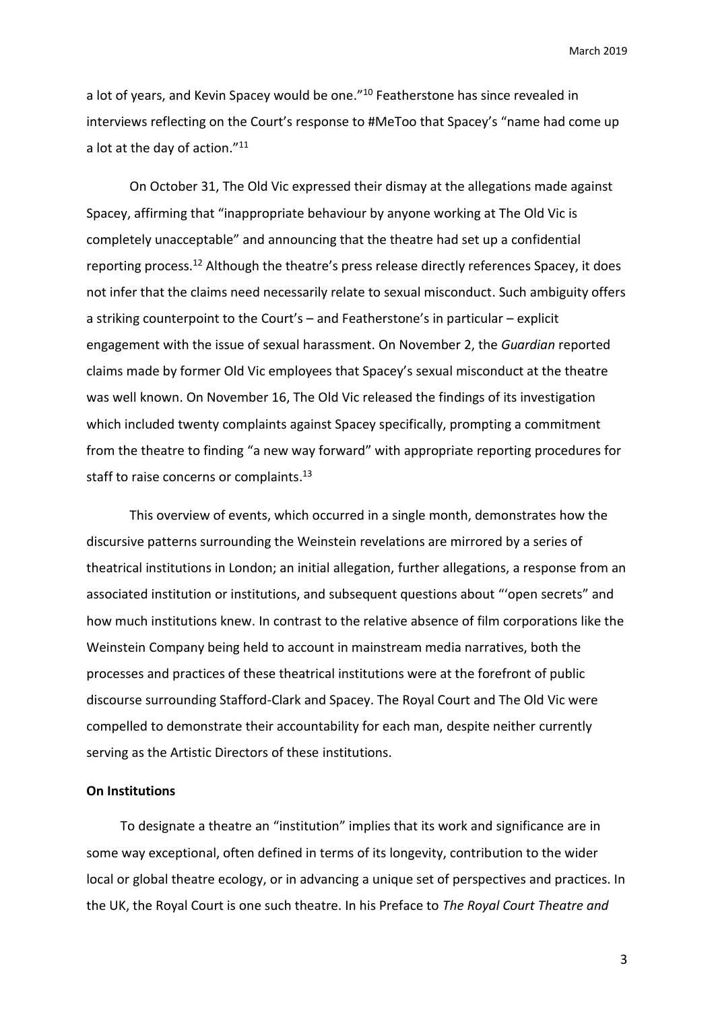a lot of years, and Kevin Spacey would be one."<sup>10</sup> Featherstone has since revealed in interviews reflecting on the Court's response to #MeToo that Spacey's "name had come up a lot at the day of action."<sup>11</sup>

On October 31, The Old Vic expressed their dismay at the allegations made against Spacey, affirming that "inappropriate behaviour by anyone working at The Old Vic is completely unacceptable" and announcing that the theatre had set up a confidential reporting process.<sup>12</sup> Although the theatre's press release directly references Spacey, it does not infer that the claims need necessarily relate to sexual misconduct. Such ambiguity offers a striking counterpoint to the Court's – and Featherstone's in particular – explicit engagement with the issue of sexual harassment. On November 2, the *Guardian* reported claims made by former Old Vic employees that Spacey's sexual misconduct at the theatre was well known. On November 16, The Old Vic released the findings of its investigation which included twenty complaints against Spacey specifically, prompting a commitment from the theatre to finding "a new way forward" with appropriate reporting procedures for staff to raise concerns or complaints. 13

This overview of events, which occurred in a single month, demonstrates how the discursive patterns surrounding the Weinstein revelations are mirrored by a series of theatrical institutions in London; an initial allegation, further allegations, a response from an associated institution or institutions, and subsequent questions about "'open secrets" and how much institutions knew. In contrast to the relative absence of film corporations like the Weinstein Company being held to account in mainstream media narratives, both the processes and practices of these theatrical institutions were at the forefront of public discourse surrounding Stafford-Clark and Spacey. The Royal Court and The Old Vic were compelled to demonstrate their accountability for each man, despite neither currently serving as the Artistic Directors of these institutions.

## **On Institutions**

To designate a theatre an "institution" implies that its work and significance are in some way exceptional, often defined in terms of its longevity, contribution to the wider local or global theatre ecology, or in advancing a unique set of perspectives and practices. In the UK, the Royal Court is one such theatre. In his Preface to *The Royal Court Theatre and*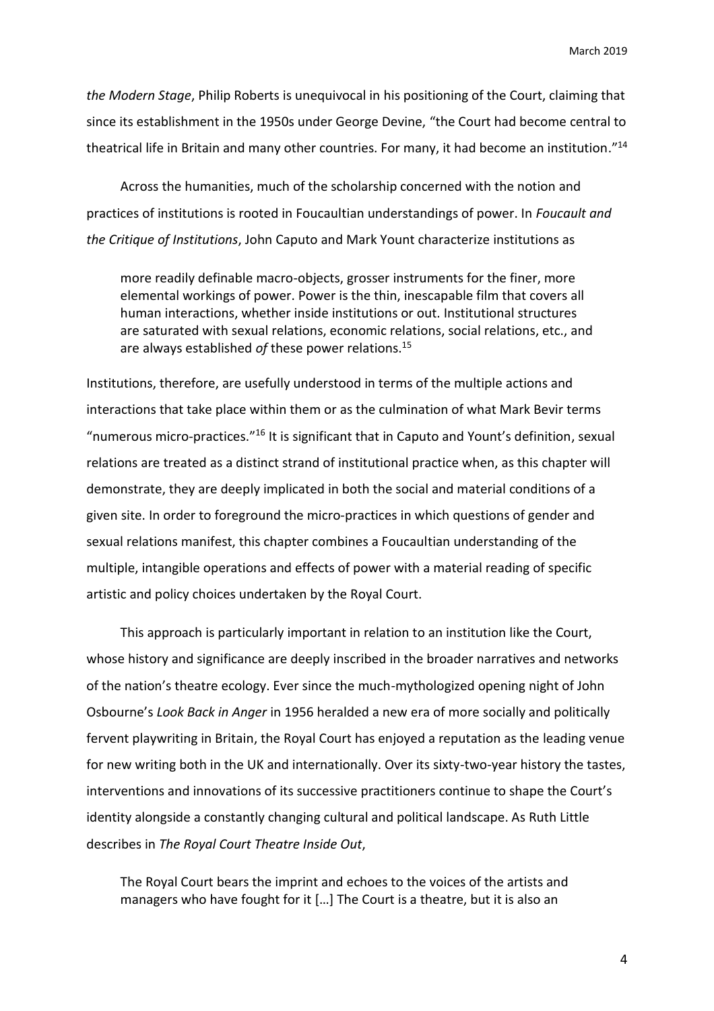*the Modern Stage*, Philip Roberts is unequivocal in his positioning of the Court, claiming that since its establishment in the 1950s under George Devine, "the Court had become central to theatrical life in Britain and many other countries. For many, it had become an institution."<sup>14</sup>

Across the humanities, much of the scholarship concerned with the notion and practices of institutions is rooted in Foucaultian understandings of power. In *Foucault and the Critique of Institutions*, John Caputo and Mark Yount characterize institutions as

more readily definable macro-objects, grosser instruments for the finer, more elemental workings of power. Power is the thin, inescapable film that covers all human interactions, whether inside institutions or out. Institutional structures are saturated with sexual relations, economic relations, social relations, etc., and are always established *of* these power relations.<sup>15</sup>

Institutions, therefore, are usefully understood in terms of the multiple actions and interactions that take place within them or as the culmination of what Mark Bevir terms "numerous micro-practices."<sup>16</sup> It is significant that in Caputo and Yount's definition, sexual relations are treated as a distinct strand of institutional practice when, as this chapter will demonstrate, they are deeply implicated in both the social and material conditions of a given site. In order to foreground the micro-practices in which questions of gender and sexual relations manifest, this chapter combines a Foucaultian understanding of the multiple, intangible operations and effects of power with a material reading of specific artistic and policy choices undertaken by the Royal Court.

This approach is particularly important in relation to an institution like the Court, whose history and significance are deeply inscribed in the broader narratives and networks of the nation's theatre ecology. Ever since the much-mythologized opening night of John Osbourne's *Look Back in Anger* in 1956 heralded a new era of more socially and politically fervent playwriting in Britain, the Royal Court has enjoyed a reputation as the leading venue for new writing both in the UK and internationally. Over its sixty-two-year history the tastes, interventions and innovations of its successive practitioners continue to shape the Court's identity alongside a constantly changing cultural and political landscape. As Ruth Little describes in *The Royal Court Theatre Inside Out*,

The Royal Court bears the imprint and echoes to the voices of the artists and managers who have fought for it […] The Court is a theatre, but it is also an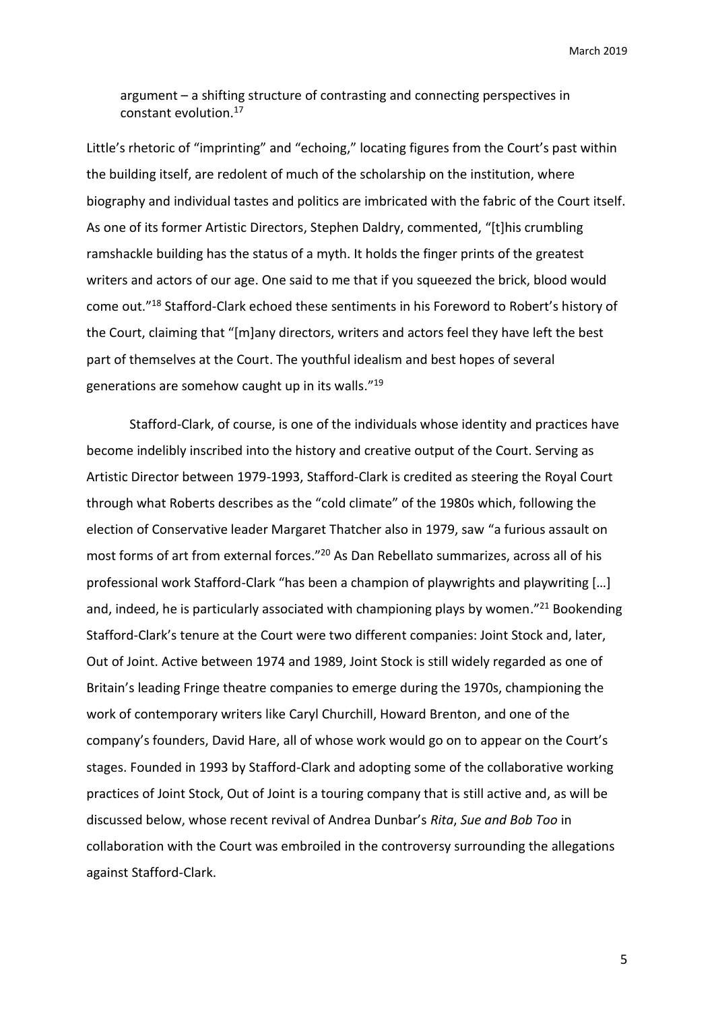argument – a shifting structure of contrasting and connecting perspectives in constant evolution.<sup>17</sup>

Little's rhetoric of "imprinting" and "echoing," locating figures from the Court's past within the building itself, are redolent of much of the scholarship on the institution, where biography and individual tastes and politics are imbricated with the fabric of the Court itself. As one of its former Artistic Directors, Stephen Daldry, commented, "[t]his crumbling ramshackle building has the status of a myth. It holds the finger prints of the greatest writers and actors of our age. One said to me that if you squeezed the brick, blood would come out." <sup>18</sup> Stafford-Clark echoed these sentiments in his Foreword to Robert's history of the Court, claiming that "[m]any directors, writers and actors feel they have left the best part of themselves at the Court. The youthful idealism and best hopes of several generations are somehow caught up in its walls."<sup>19</sup>

Stafford-Clark, of course, is one of the individuals whose identity and practices have become indelibly inscribed into the history and creative output of the Court. Serving as Artistic Director between 1979-1993, Stafford-Clark is credited as steering the Royal Court through what Roberts describes as the "cold climate" of the 1980s which, following the election of Conservative leader Margaret Thatcher also in 1979, saw "a furious assault on most forms of art from external forces."<sup>20</sup> As Dan Rebellato summarizes, across all of his professional work Stafford-Clark "has been a champion of playwrights and playwriting […] and, indeed, he is particularly associated with championing plays by women."<sup>21</sup> Bookending Stafford-Clark's tenure at the Court were two different companies: Joint Stock and, later, Out of Joint. Active between 1974 and 1989, Joint Stock is still widely regarded as one of Britain's leading Fringe theatre companies to emerge during the 1970s, championing the work of contemporary writers like Caryl Churchill, Howard Brenton, and one of the company's founders, David Hare, all of whose work would go on to appear on the Court's stages. Founded in 1993 by Stafford-Clark and adopting some of the collaborative working practices of Joint Stock, Out of Joint is a touring company that is still active and, as will be discussed below, whose recent revival of Andrea Dunbar's *Rita*, *Sue and Bob Too* in collaboration with the Court was embroiled in the controversy surrounding the allegations against Stafford-Clark.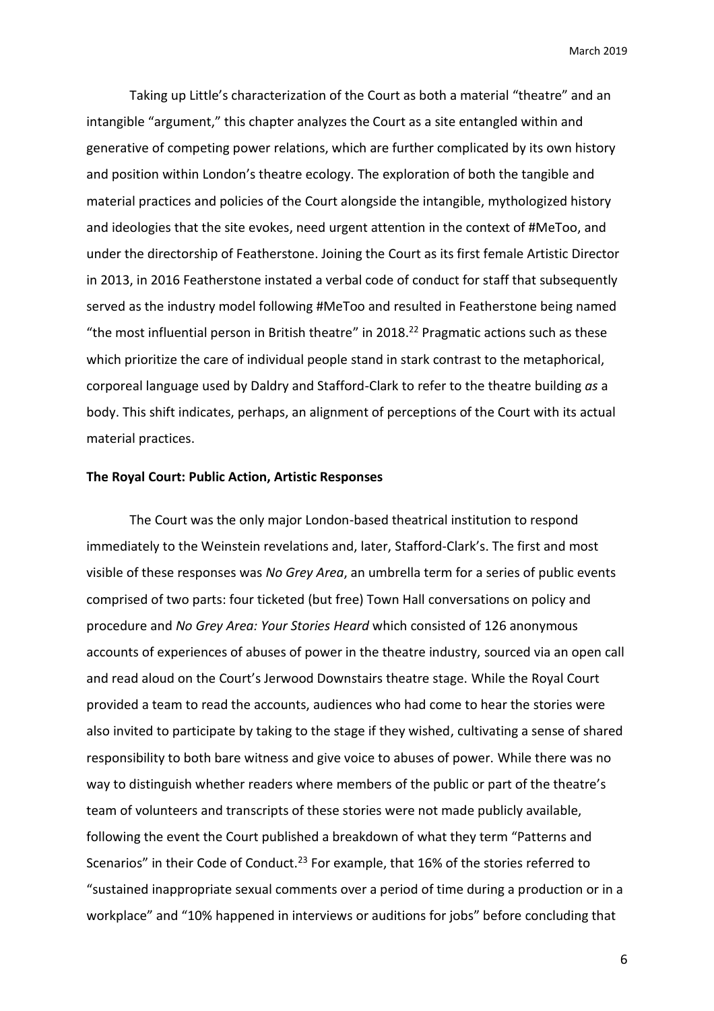Taking up Little's characterization of the Court as both a material "theatre" and an intangible "argument," this chapter analyzes the Court as a site entangled within and generative of competing power relations, which are further complicated by its own history and position within London's theatre ecology. The exploration of both the tangible and material practices and policies of the Court alongside the intangible, mythologized history and ideologies that the site evokes, need urgent attention in the context of #MeToo, and under the directorship of Featherstone. Joining the Court as its first female Artistic Director in 2013, in 2016 Featherstone instated a verbal code of conduct for staff that subsequently served as the industry model following #MeToo and resulted in Featherstone being named "the most influential person in British theatre" in 2018.<sup>22</sup> Pragmatic actions such as these which prioritize the care of individual people stand in stark contrast to the metaphorical, corporeal language used by Daldry and Stafford-Clark to refer to the theatre building *as* a body. This shift indicates, perhaps, an alignment of perceptions of the Court with its actual material practices.

#### **The Royal Court: Public Action, Artistic Responses**

The Court was the only major London-based theatrical institution to respond immediately to the Weinstein revelations and, later, Stafford-Clark's. The first and most visible of these responses was *No Grey Area*, an umbrella term for a series of public events comprised of two parts: four ticketed (but free) Town Hall conversations on policy and procedure and *No Grey Area: Your Stories Heard* which consisted of 126 anonymous accounts of experiences of abuses of power in the theatre industry, sourced via an open call and read aloud on the Court's Jerwood Downstairs theatre stage. While the Royal Court provided a team to read the accounts, audiences who had come to hear the stories were also invited to participate by taking to the stage if they wished, cultivating a sense of shared responsibility to both bare witness and give voice to abuses of power. While there was no way to distinguish whether readers where members of the public or part of the theatre's team of volunteers and transcripts of these stories were not made publicly available, following the event the Court published a breakdown of what they term "Patterns and Scenarios" in their Code of Conduct.<sup>23</sup> For example, that 16% of the stories referred to "sustained inappropriate sexual comments over a period of time during a production or in a workplace" and "10% happened in interviews or auditions for jobs" before concluding that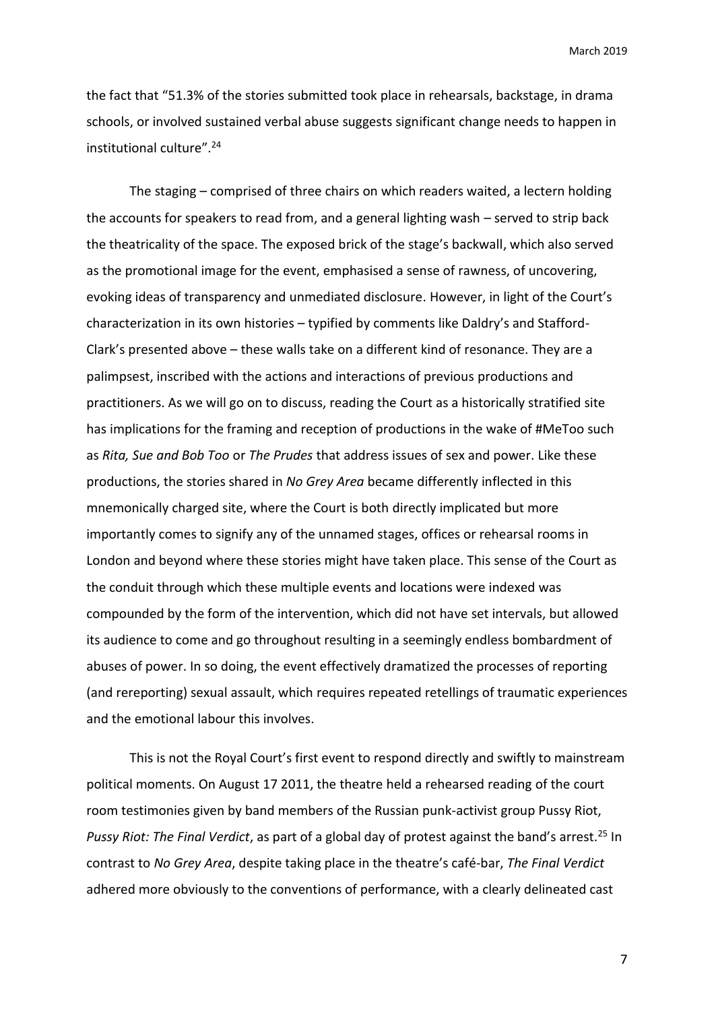the fact that "51.3% of the stories submitted took place in rehearsals, backstage, in drama schools, or involved sustained verbal abuse suggests significant change needs to happen in institutional culture".<sup>24</sup>

The staging – comprised of three chairs on which readers waited, a lectern holding the accounts for speakers to read from, and a general lighting wash – served to strip back the theatricality of the space. The exposed brick of the stage's backwall, which also served as the promotional image for the event, emphasised a sense of rawness, of uncovering, evoking ideas of transparency and unmediated disclosure. However, in light of the Court's characterization in its own histories – typified by comments like Daldry's and Stafford-Clark's presented above – these walls take on a different kind of resonance. They are a palimpsest, inscribed with the actions and interactions of previous productions and practitioners. As we will go on to discuss, reading the Court as a historically stratified site has implications for the framing and reception of productions in the wake of #MeToo such as *Rita, Sue and Bob Too* or *The Prudes* that address issues of sex and power. Like these productions, the stories shared in *No Grey Area* became differently inflected in this mnemonically charged site, where the Court is both directly implicated but more importantly comes to signify any of the unnamed stages, offices or rehearsal rooms in London and beyond where these stories might have taken place. This sense of the Court as the conduit through which these multiple events and locations were indexed was compounded by the form of the intervention, which did not have set intervals, but allowed its audience to come and go throughout resulting in a seemingly endless bombardment of abuses of power. In so doing, the event effectively dramatized the processes of reporting (and rereporting) sexual assault, which requires repeated retellings of traumatic experiences and the emotional labour this involves.

This is not the Royal Court's first event to respond directly and swiftly to mainstream political moments. On August 17 2011, the theatre held a rehearsed reading of the court room testimonies given by band members of the Russian punk-activist group Pussy Riot, *Pussy Riot: The Final Verdict*, as part of a global day of protest against the band's arrest.<sup>25</sup> In contrast to *No Grey Area*, despite taking place in the theatre's café-bar, *The Final Verdict* adhered more obviously to the conventions of performance, with a clearly delineated cast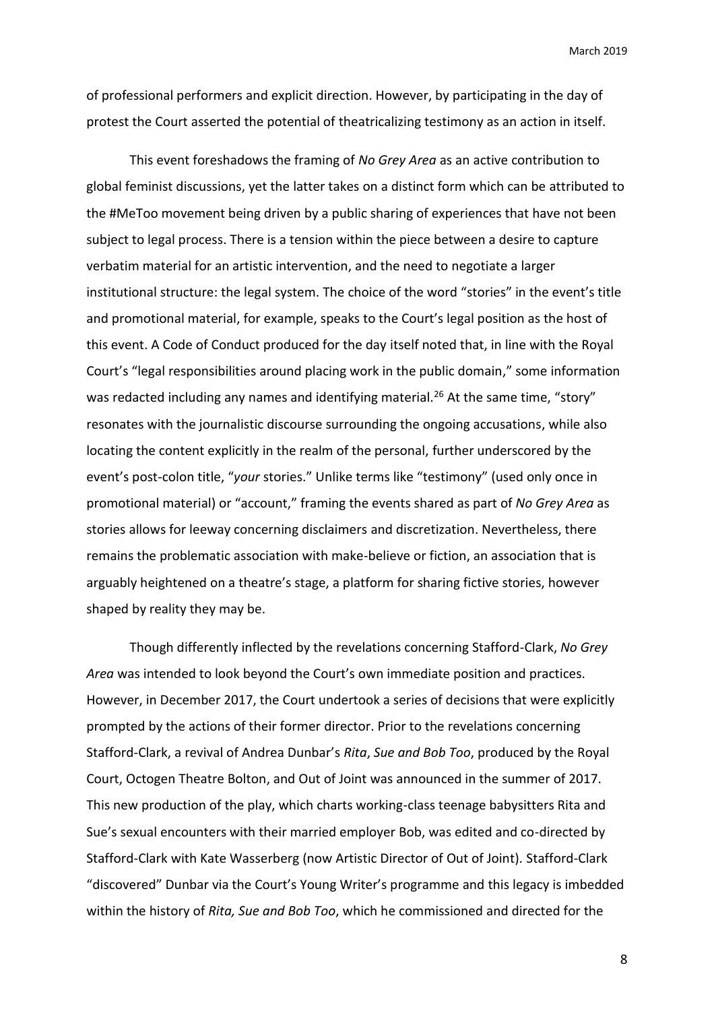of professional performers and explicit direction. However, by participating in the day of protest the Court asserted the potential of theatricalizing testimony as an action in itself.

This event foreshadows the framing of *No Grey Area* as an active contribution to global feminist discussions, yet the latter takes on a distinct form which can be attributed to the #MeToo movement being driven by a public sharing of experiences that have not been subject to legal process. There is a tension within the piece between a desire to capture verbatim material for an artistic intervention, and the need to negotiate a larger institutional structure: the legal system. The choice of the word "stories" in the event's title and promotional material, for example, speaks to the Court's legal position as the host of this event. A Code of Conduct produced for the day itself noted that, in line with the Royal Court's "legal responsibilities around placing work in the public domain," some information was redacted including any names and identifying material.<sup>26</sup> At the same time, "story" resonates with the journalistic discourse surrounding the ongoing accusations, while also locating the content explicitly in the realm of the personal, further underscored by the event's post-colon title, "*your* stories." Unlike terms like "testimony" (used only once in promotional material) or "account," framing the events shared as part of *No Grey Area* as stories allows for leeway concerning disclaimers and discretization. Nevertheless, there remains the problematic association with make-believe or fiction, an association that is arguably heightened on a theatre's stage, a platform for sharing fictive stories, however shaped by reality they may be.

Though differently inflected by the revelations concerning Stafford-Clark, *No Grey Area* was intended to look beyond the Court's own immediate position and practices. However, in December 2017, the Court undertook a series of decisions that were explicitly prompted by the actions of their former director. Prior to the revelations concerning Stafford-Clark, a revival of Andrea Dunbar's *Rita*, *Sue and Bob Too*, produced by the Royal Court, Octogen Theatre Bolton, and Out of Joint was announced in the summer of 2017. This new production of the play, which charts working-class teenage babysitters Rita and Sue's sexual encounters with their married employer Bob, was edited and co-directed by Stafford-Clark with Kate Wasserberg (now Artistic Director of Out of Joint). Stafford-Clark "discovered" Dunbar via the Court's Young Writer's programme and this legacy is imbedded within the history of *Rita, Sue and Bob Too*, which he commissioned and directed for the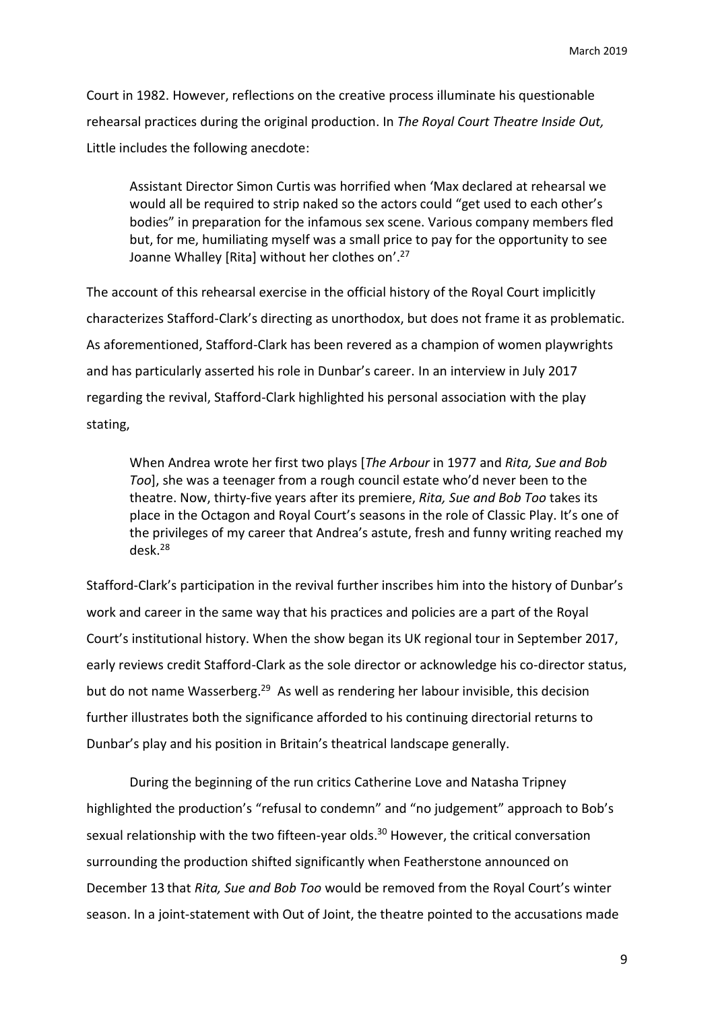Court in 1982. However, reflections on the creative process illuminate his questionable rehearsal practices during the original production. In *The Royal Court Theatre Inside Out,* Little includes the following anecdote:

Assistant Director Simon Curtis was horrified when 'Max declared at rehearsal we would all be required to strip naked so the actors could "get used to each other's bodies" in preparation for the infamous sex scene. Various company members fled but, for me, humiliating myself was a small price to pay for the opportunity to see Joanne Whalley [Rita] without her clothes on'. 27

The account of this rehearsal exercise in the official history of the Royal Court implicitly characterizes Stafford-Clark's directing as unorthodox, but does not frame it as problematic. As aforementioned, Stafford-Clark has been revered as a champion of women playwrights and has particularly asserted his role in Dunbar's career. In an interview in July 2017 regarding the revival, Stafford-Clark highlighted his personal association with the play stating,

When Andrea wrote her first two plays [*The Arbour* in 1977 and *Rita, Sue and Bob Too*], she was a teenager from a rough council estate who'd never been to the theatre. Now, thirty-five years after its premiere, *Rita, Sue and Bob Too* takes its place in the Octagon and Royal Court's seasons in the role of Classic Play. It's one of the privileges of my career that Andrea's astute, fresh and funny writing reached my desk.<sup>28</sup>

Stafford-Clark's participation in the revival further inscribes him into the history of Dunbar's work and career in the same way that his practices and policies are a part of the Royal Court's institutional history. When the show began its UK regional tour in September 2017, early reviews credit Stafford-Clark as the sole director or acknowledge his co-director status, but do not name Wasserberg.<sup>29</sup> As well as rendering her labour invisible, this decision further illustrates both the significance afforded to his continuing directorial returns to Dunbar's play and his position in Britain's theatrical landscape generally.

During the beginning of the run critics Catherine Love and Natasha Tripney highlighted the production's "refusal to condemn" and "no judgement" approach to Bob's sexual relationship with the two fifteen-year olds.<sup>30</sup> However, the critical conversation surrounding the production shifted significantly when Featherstone announced on December 13 that *Rita, Sue and Bob Too* would be removed from the Royal Court's winter season. In a joint-statement with Out of Joint, the theatre pointed to the accusations made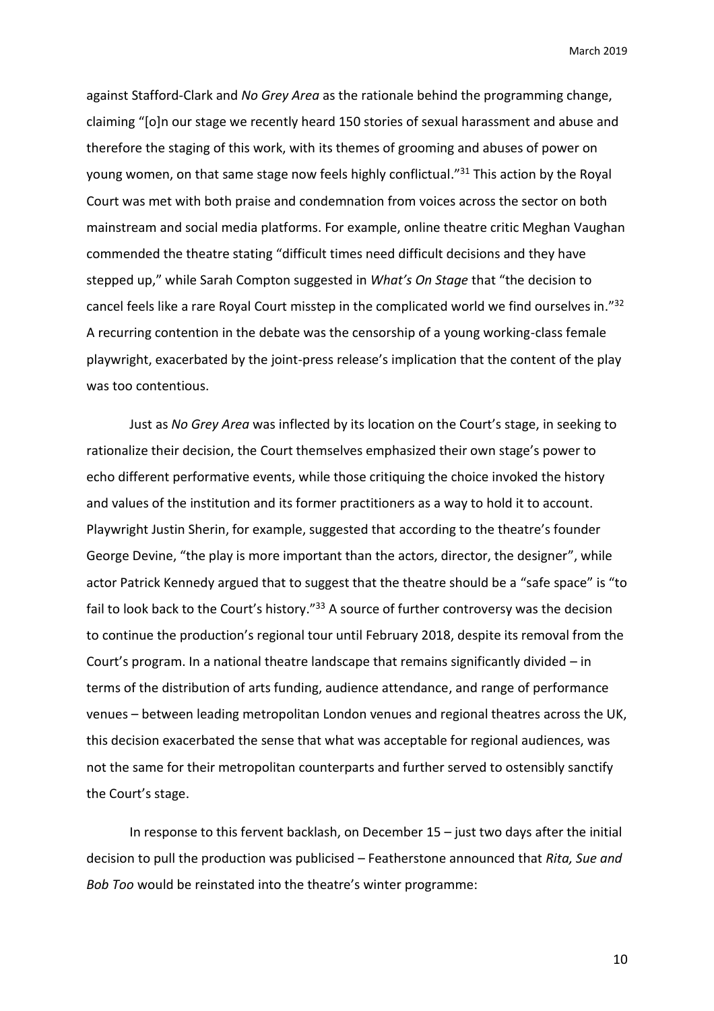against Stafford-Clark and *No Grey Area* as the rationale behind the programming change, claiming "[o]n our stage we recently heard 150 stories of sexual harassment and abuse and therefore the staging of this work, with its themes of grooming and abuses of power on young women, on that same stage now feels highly conflictual."<sup>31</sup> This action by the Royal Court was met with both praise and condemnation from voices across the sector on both mainstream and social media platforms. For example, online theatre critic Meghan Vaughan commended the theatre stating "difficult times need difficult decisions and they have stepped up," while Sarah Compton suggested in *What's On Stage* that "the decision to cancel feels like a rare Royal Court misstep in the complicated world we find ourselves in." 32 A recurring contention in the debate was the censorship of a young working-class female playwright, exacerbated by the joint-press release's implication that the content of the play was too contentious.

Just as *No Grey Area* was inflected by its location on the Court's stage, in seeking to rationalize their decision, the Court themselves emphasized their own stage's power to echo different performative events, while those critiquing the choice invoked the history and values of the institution and its former practitioners as a way to hold it to account. Playwright Justin Sherin, for example, suggested that according to the theatre's founder George Devine, "the play is more important than the actors, director, the designer", while actor Patrick Kennedy argued that to suggest that the theatre should be a "safe space" is "to fail to look back to the Court's history."<sup>33</sup> A source of further controversy was the decision to continue the production's regional tour until February 2018, despite its removal from the Court's program. In a national theatre landscape that remains significantly divided – in terms of the distribution of arts funding, audience attendance, and range of performance venues – between leading metropolitan London venues and regional theatres across the UK, this decision exacerbated the sense that what was acceptable for regional audiences, was not the same for their metropolitan counterparts and further served to ostensibly sanctify the Court's stage.

In response to this fervent backlash, on December 15 – just two days after the initial decision to pull the production was publicised – Featherstone announced that *Rita, Sue and Bob Too* would be reinstated into the theatre's winter programme: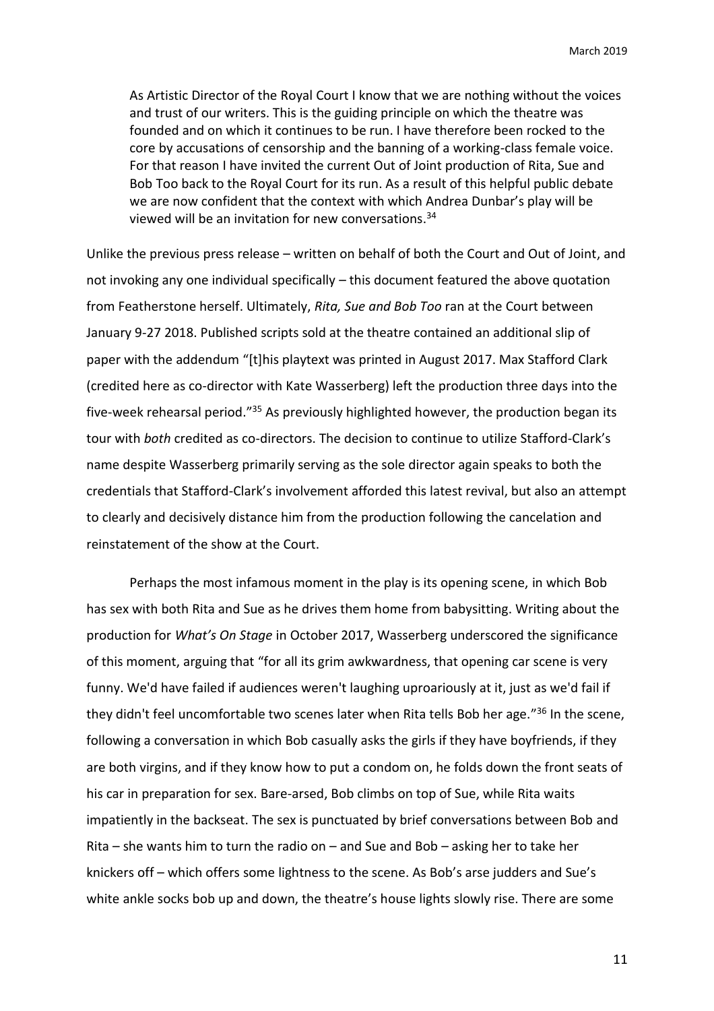As Artistic Director of the Royal Court I know that we are nothing without the voices and trust of our writers. This is the guiding principle on which the theatre was founded and on which it continues to be run. I have therefore been rocked to the core by accusations of censorship and the banning of a working-class female voice. For that reason I have invited the current Out of Joint production of Rita, Sue and Bob Too back to the Royal Court for its run. As a result of this helpful public debate we are now confident that the context with which Andrea Dunbar's play will be viewed will be an invitation for new conversations. 34

Unlike the previous press release – written on behalf of both the Court and Out of Joint, and not invoking any one individual specifically – this document featured the above quotation from Featherstone herself. Ultimately, *Rita, Sue and Bob Too* ran at the Court between January 9-27 2018. Published scripts sold at the theatre contained an additional slip of paper with the addendum "[t]his playtext was printed in August 2017. Max Stafford Clark (credited here as co-director with Kate Wasserberg) left the production three days into the five-week rehearsal period."<sup>35</sup> As previously highlighted however, the production began its tour with *both* credited as co-directors. The decision to continue to utilize Stafford-Clark's name despite Wasserberg primarily serving as the sole director again speaks to both the credentials that Stafford-Clark's involvement afforded this latest revival, but also an attempt to clearly and decisively distance him from the production following the cancelation and reinstatement of the show at the Court.

Perhaps the most infamous moment in the play is its opening scene, in which Bob has sex with both Rita and Sue as he drives them home from babysitting. Writing about the production for *What's On Stage* in October 2017, Wasserberg underscored the significance of this moment, arguing that "for all its grim awkwardness, that opening car scene is very funny. We'd have failed if audiences weren't laughing uproariously at it, just as we'd fail if they didn't feel uncomfortable two scenes later when Rita tells Bob her age." <sup>36</sup> In the scene, following a conversation in which Bob casually asks the girls if they have boyfriends, if they are both virgins, and if they know how to put a condom on, he folds down the front seats of his car in preparation for sex. Bare-arsed, Bob climbs on top of Sue, while Rita waits impatiently in the backseat. The sex is punctuated by brief conversations between Bob and Rita – she wants him to turn the radio on – and Sue and Bob – asking her to take her knickers off – which offers some lightness to the scene. As Bob's arse judders and Sue's white ankle socks bob up and down, the theatre's house lights slowly rise. There are some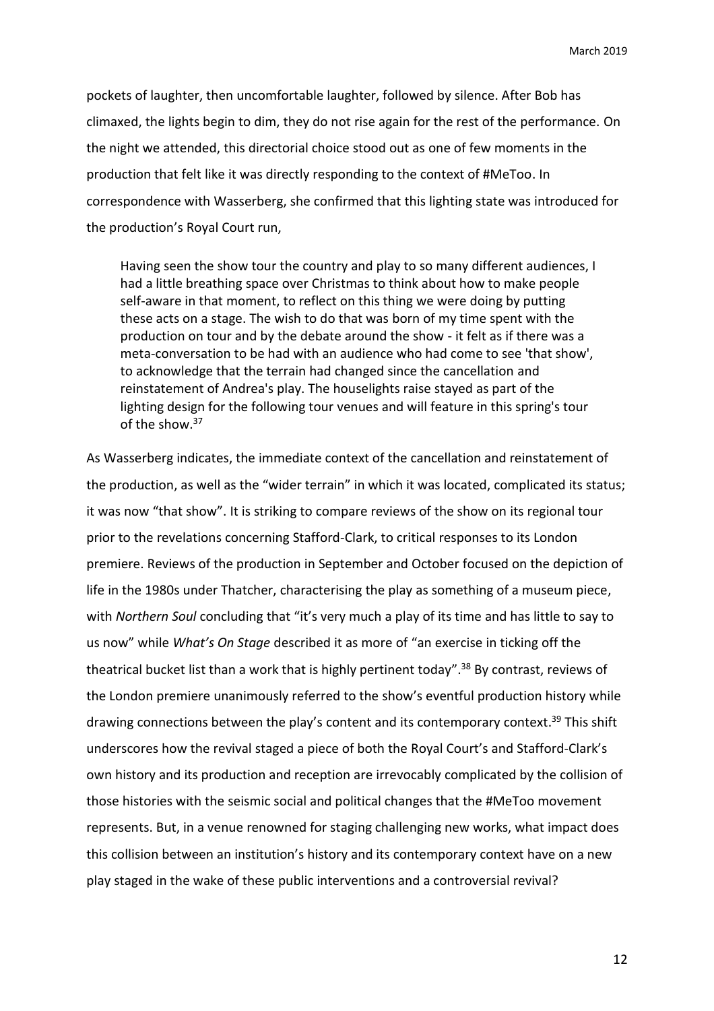pockets of laughter, then uncomfortable laughter, followed by silence. After Bob has climaxed, the lights begin to dim, they do not rise again for the rest of the performance. On the night we attended, this directorial choice stood out as one of few moments in the production that felt like it was directly responding to the context of #MeToo. In correspondence with Wasserberg, she confirmed that this lighting state was introduced for the production's Royal Court run,

Having seen the show tour the country and play to so many different audiences, I had a little breathing space over Christmas to think about how to make people self-aware in that moment, to reflect on this thing we were doing by putting these acts on a stage. The wish to do that was born of my time spent with the production on tour and by the debate around the show - it felt as if there was a meta-conversation to be had with an audience who had come to see 'that show', to acknowledge that the terrain had changed since the cancellation and reinstatement of Andrea's play. The houselights raise stayed as part of the lighting design for the following tour venues and will feature in this spring's tour of the show.<sup>37</sup>

As Wasserberg indicates, the immediate context of the cancellation and reinstatement of the production, as well as the "wider terrain" in which it was located, complicated its status; it was now "that show". It is striking to compare reviews of the show on its regional tour prior to the revelations concerning Stafford-Clark, to critical responses to its London premiere. Reviews of the production in September and October focused on the depiction of life in the 1980s under Thatcher, characterising the play as something of a museum piece, with *Northern Soul* concluding that "it's very much a play of its time and has little to say to us now" while *What's On Stage* described it as more of "an exercise in ticking off the theatrical bucket list than a work that is highly pertinent today".<sup>38</sup> By contrast, reviews of the London premiere unanimously referred to the show's eventful production history while drawing connections between the play's content and its contemporary context.<sup>39</sup> This shift underscores how the revival staged a piece of both the Royal Court's and Stafford-Clark's own history and its production and reception are irrevocably complicated by the collision of those histories with the seismic social and political changes that the #MeToo movement represents. But, in a venue renowned for staging challenging new works, what impact does this collision between an institution's history and its contemporary context have on a new play staged in the wake of these public interventions and a controversial revival?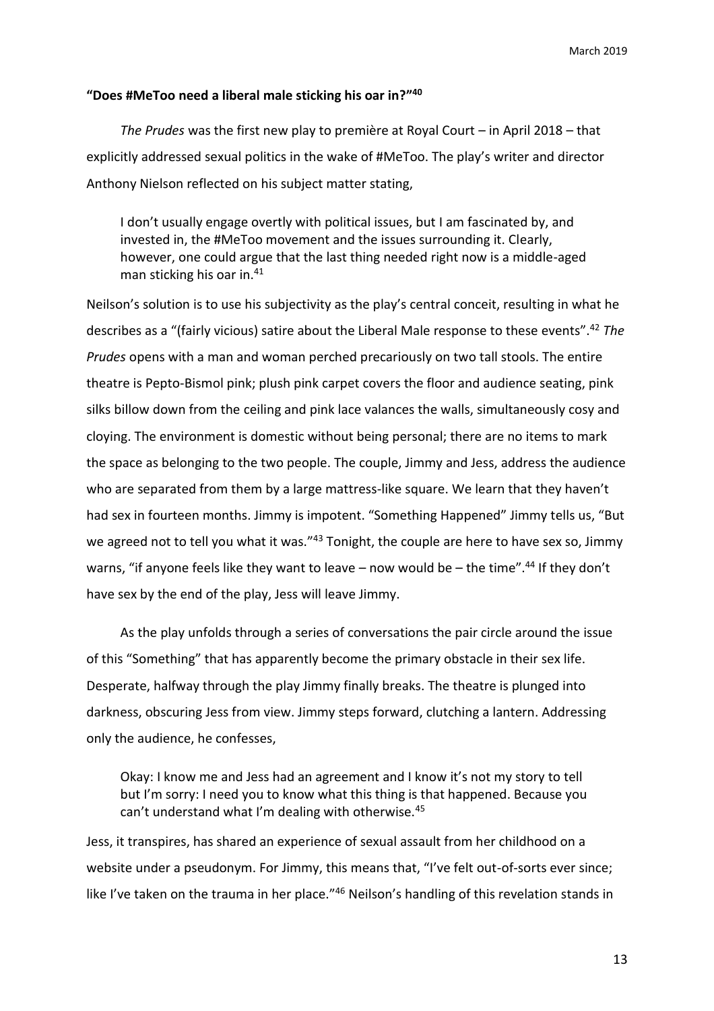# **"Does #MeToo need a liberal male sticking his oar in?" 40**

*The Prudes* was the first new play to première at Royal Court – in April 2018 – that explicitly addressed sexual politics in the wake of #MeToo. The play's writer and director Anthony Nielson reflected on his subject matter stating,

I don't usually engage overtly with political issues, but I am fascinated by, and invested in, the #MeToo movement and the issues surrounding it. Clearly, however, one could argue that the last thing needed right now is a middle-aged man sticking his oar in.<sup>41</sup>

Neilson's solution is to use his subjectivity as the play's central conceit, resulting in what he describes as a "(fairly vicious) satire about the Liberal Male response to these events".<sup>42</sup> *The Prudes* opens with a man and woman perched precariously on two tall stools. The entire theatre is Pepto-Bismol pink; plush pink carpet covers the floor and audience seating, pink silks billow down from the ceiling and pink lace valances the walls, simultaneously cosy and cloying. The environment is domestic without being personal; there are no items to mark the space as belonging to the two people. The couple, Jimmy and Jess, address the audience who are separated from them by a large mattress-like square. We learn that they haven't had sex in fourteen months. Jimmy is impotent. "Something Happened" Jimmy tells us, "But we agreed not to tell you what it was."<sup>43</sup> Tonight, the couple are here to have sex so, Jimmy warns, "if anyone feels like they want to leave – now would be – the time".<sup>44</sup> If they don't have sex by the end of the play, Jess will leave Jimmy.

As the play unfolds through a series of conversations the pair circle around the issue of this "Something" that has apparently become the primary obstacle in their sex life. Desperate, halfway through the play Jimmy finally breaks. The theatre is plunged into darkness, obscuring Jess from view. Jimmy steps forward, clutching a lantern. Addressing only the audience, he confesses,

Okay: I know me and Jess had an agreement and I know it's not my story to tell but I'm sorry: I need you to know what this thing is that happened. Because you can't understand what I'm dealing with otherwise.<sup>45</sup>

Jess, it transpires, has shared an experience of sexual assault from her childhood on a website under a pseudonym. For Jimmy, this means that, "I've felt out-of-sorts ever since; like I've taken on the trauma in her place."<sup>46</sup> Neilson's handling of this revelation stands in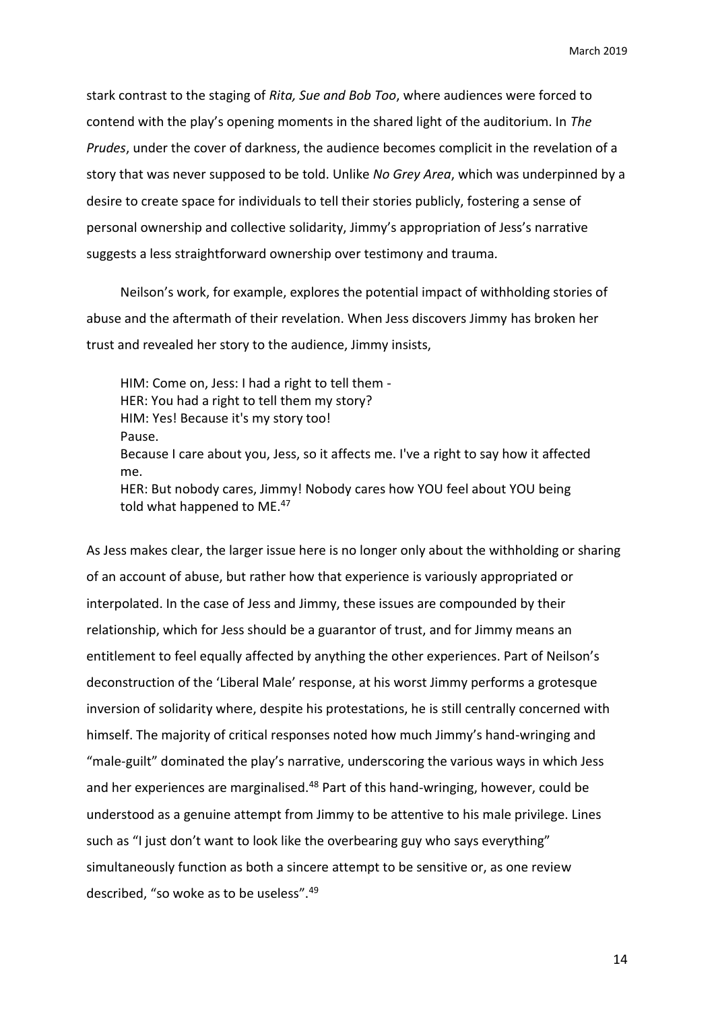stark contrast to the staging of *Rita, Sue and Bob Too*, where audiences were forced to contend with the play's opening moments in the shared light of the auditorium. In *The Prudes*, under the cover of darkness, the audience becomes complicit in the revelation of a story that was never supposed to be told. Unlike *No Grey Area*, which was underpinned by a desire to create space for individuals to tell their stories publicly, fostering a sense of personal ownership and collective solidarity, Jimmy's appropriation of Jess's narrative suggests a less straightforward ownership over testimony and trauma*.*

Neilson's work, for example, explores the potential impact of withholding stories of abuse and the aftermath of their revelation. When Jess discovers Jimmy has broken her trust and revealed her story to the audience, Jimmy insists,

HIM: Come on, Jess: I had a right to tell them - HER: You had a right to tell them my story? HIM: Yes! Because it's my story too! Pause. Because I care about you, Jess, so it affects me. I've a right to say how it affected me. HER: But nobody cares, Jimmy! Nobody cares how YOU feel about YOU being told what happened to ME.<sup>47</sup>

As Jess makes clear, the larger issue here is no longer only about the withholding or sharing of an account of abuse, but rather how that experience is variously appropriated or interpolated. In the case of Jess and Jimmy, these issues are compounded by their relationship, which for Jess should be a guarantor of trust, and for Jimmy means an entitlement to feel equally affected by anything the other experiences. Part of Neilson's deconstruction of the 'Liberal Male' response, at his worst Jimmy performs a grotesque inversion of solidarity where, despite his protestations, he is still centrally concerned with himself. The majority of critical responses noted how much Jimmy's hand-wringing and "male-guilt" dominated the play's narrative, underscoring the various ways in which Jess and her experiences are marginalised. $48$  Part of this hand-wringing, however, could be understood as a genuine attempt from Jimmy to be attentive to his male privilege. Lines such as "I just don't want to look like the overbearing guy who says everything" simultaneously function as both a sincere attempt to be sensitive or, as one review described, "so woke as to be useless".49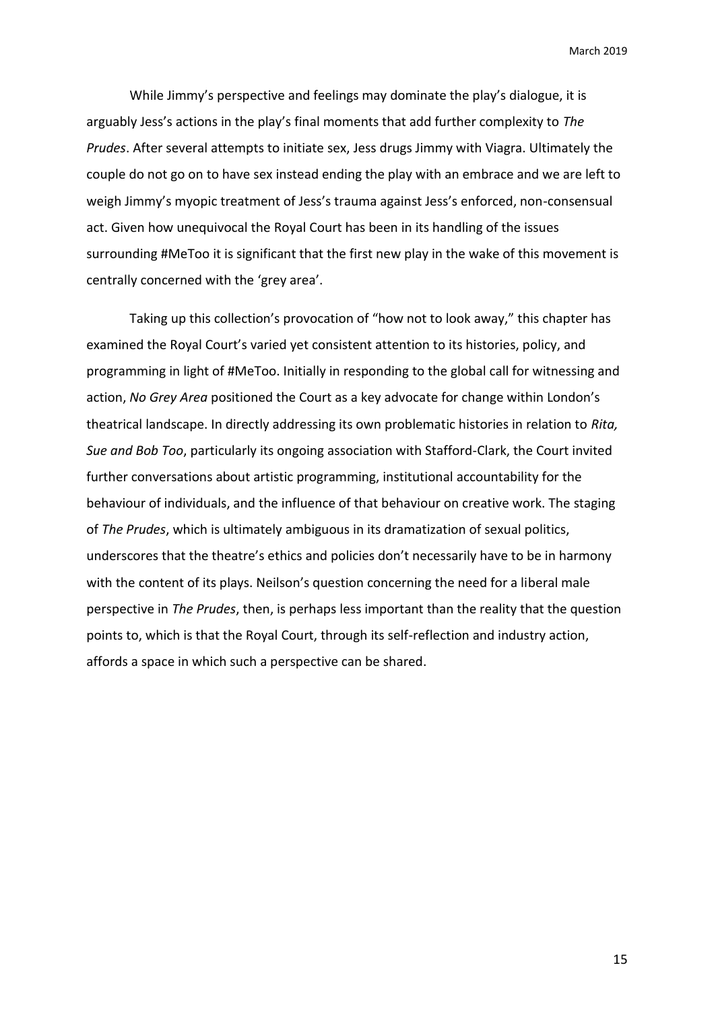While Jimmy's perspective and feelings may dominate the play's dialogue, it is arguably Jess's actions in the play's final moments that add further complexity to *The Prudes*. After several attempts to initiate sex, Jess drugs Jimmy with Viagra. Ultimately the couple do not go on to have sex instead ending the play with an embrace and we are left to weigh Jimmy's myopic treatment of Jess's trauma against Jess's enforced, non-consensual act. Given how unequivocal the Royal Court has been in its handling of the issues surrounding #MeToo it is significant that the first new play in the wake of this movement is centrally concerned with the 'grey area'.

Taking up this collection's provocation of "how not to look away," this chapter has examined the Royal Court's varied yet consistent attention to its histories, policy, and programming in light of #MeToo. Initially in responding to the global call for witnessing and action, *No Grey Area* positioned the Court as a key advocate for change within London's theatrical landscape. In directly addressing its own problematic histories in relation to *Rita, Sue and Bob Too*, particularly its ongoing association with Stafford-Clark, the Court invited further conversations about artistic programming, institutional accountability for the behaviour of individuals, and the influence of that behaviour on creative work. The staging of *The Prudes*, which is ultimately ambiguous in its dramatization of sexual politics, underscores that the theatre's ethics and policies don't necessarily have to be in harmony with the content of its plays. Neilson's question concerning the need for a liberal male perspective in *The Prudes*, then, is perhaps less important than the reality that the question points to, which is that the Royal Court, through its self-reflection and industry action, affords a space in which such a perspective can be shared.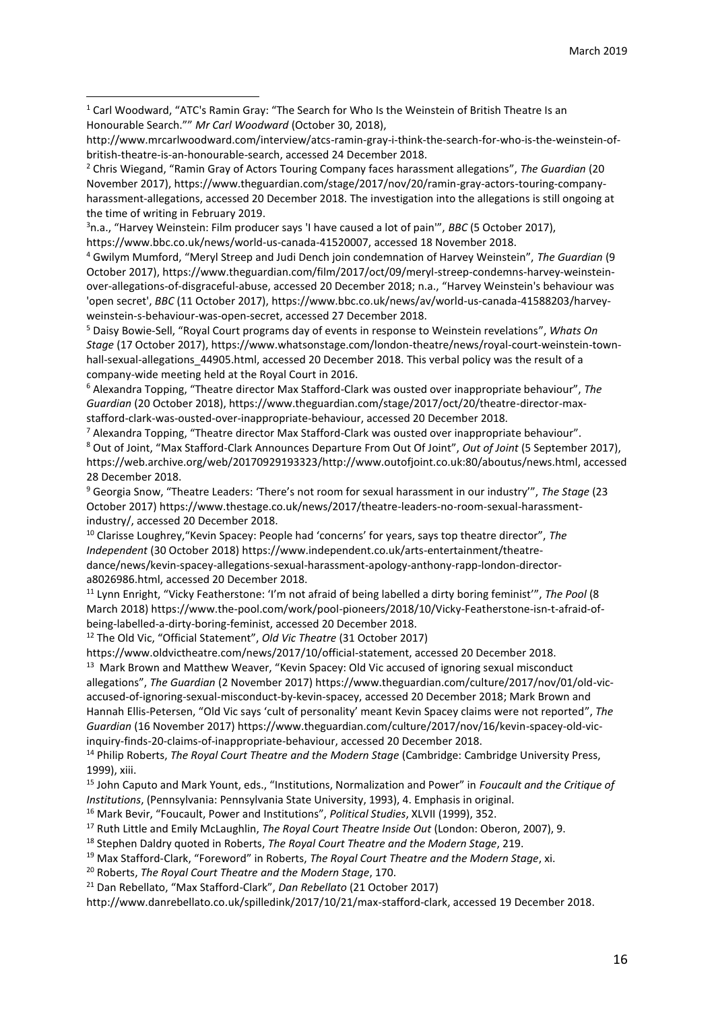<sup>3</sup>n.a., "Harvey Weinstein: Film producer says 'I have caused a lot of pain'", *BBC* (5 October 2017), https://www.bbc.co.uk/news/world-us-canada-41520007, accessed 18 November 2018.

<sup>4</sup> Gwilym Mumford, "Meryl Streep and Judi Dench join condemnation of Harvey Weinstein", *The Guardian* (9 October 2017), https://www.theguardian.com/film/2017/oct/09/meryl-streep-condemns-harvey-weinsteinover-allegations-of-disgraceful-abuse, accessed 20 December 2018; n.a., "Harvey Weinstein's behaviour was 'open secret', *BBC* (11 October 2017), https://www.bbc.co.uk/news/av/world-us-canada-41588203/harveyweinstein-s-behaviour-was-open-secret, accessed 27 December 2018.

<sup>5</sup> Daisy Bowie-Sell, "Royal Court programs day of events in response to Weinstein revelations", *Whats On Stage* (17 October 2017), https://www.whatsonstage.com/london-theatre/news/royal-court-weinstein-townhall-sexual-allegations\_44905.html, accessed 20 December 2018. This verbal policy was the result of a company-wide meeting held at the Royal Court in 2016.

<sup>6</sup> Alexandra Topping, "Theatre director Max Stafford-Clark was ousted over inappropriate behaviour", *The Guardian* (20 October 2018), https://www.theguardian.com/stage/2017/oct/20/theatre-director-maxstafford-clark-was-ousted-over-inappropriate-behaviour, accessed 20 December 2018.

<sup>7</sup> Alexandra Topping, "Theatre director Max Stafford-Clark was ousted over inappropriate behaviour". <sup>8</sup> Out of Joint, "Max Stafford-Clark Announces Departure From Out Of Joint", *Out of Joint* (5 September 2017), https://web.archive.org/web/20170929193323/http://www.outofjoint.co.uk:80/aboutus/news.html, accessed 28 December 2018.

<sup>9</sup> Georgia Snow, "Theatre Leaders: 'There's not room for sexual harassment in our industry'", *The Stage* (23 October 2017) https://www.thestage.co.uk/news/2017/theatre-leaders-no-room-sexual-harassmentindustry/, accessed 20 December 2018.

<sup>10</sup> Clarisse Loughrey,"Kevin Spacey: People had 'concerns' for years, says top theatre director", *The Independent* (30 October 2018) https://www.independent.co.uk/arts-entertainment/theatredance/news/kevin-spacey-allegations-sexual-harassment-apology-anthony-rapp-london-directora8026986.html, accessed 20 December 2018.

<sup>11</sup> Lynn Enright, "Vicky Featherstone: 'I'm not afraid of being labelled a dirty boring feminist'", *The Pool* (8 March 2018) https://www.the-pool.com/work/pool-pioneers/2018/10/Vicky-Featherstone-isn-t-afraid-ofbeing-labelled-a-dirty-boring-feminist, accessed 20 December 2018.

<sup>12</sup> The Old Vic, "Official Statement", *Old Vic Theatre* (31 October 2017)

https://www.oldvictheatre.com/news/2017/10/official-statement, accessed 20 December 2018. <sup>13</sup> Mark Brown and Matthew Weaver, "Kevin Spacey: Old Vic accused of ignoring sexual misconduct allegations", *The Guardian* (2 November 2017) https://www.theguardian.com/culture/2017/nov/01/old-vicaccused-of-ignoring-sexual-misconduct-by-kevin-spacey, accessed 20 December 2018; Mark Brown and Hannah Ellis-Petersen, "Old Vic says 'cult of personality' meant Kevin Spacey claims were not reported", *The Guardian* (16 November 2017) https://www.theguardian.com/culture/2017/nov/16/kevin-spacey-old-vicinquiry-finds-20-claims-of-inappropriate-behaviour, accessed 20 December 2018.

<sup>14</sup> Philip Roberts, *The Royal Court Theatre and the Modern Stage* (Cambridge: Cambridge University Press, 1999), xiii.

<sup>15</sup> John Caputo and Mark Yount, eds., "Institutions, Normalization and Power" in *Foucault and the Critique of Institutions*, (Pennsylvania: Pennsylvania State University, 1993), 4. Emphasis in original.

<sup>16</sup> Mark Bevir, "Foucault, Power and Institutions", *Political Studies*, XLVII (1999), 352.

<sup>17</sup> Ruth Little and Emily McLaughlin, *The Royal Court Theatre Inside Out* (London: Oberon, 2007), 9.

<sup>18</sup> Stephen Daldry quoted in Roberts, *The Royal Court Theatre and the Modern Stage*, 219.

<sup>19</sup> Max Stafford-Clark, "Foreword" in Roberts, *The Royal Court Theatre and the Modern Stage*, xi.

<sup>20</sup> Roberts, *The Royal Court Theatre and the Modern Stage*, 170.

<sup>21</sup> Dan Rebellato, "Max Stafford-Clark", *Dan Rebellato* (21 October 2017)

http://www.danrebellato.co.uk/spilledink/2017/10/21/max-stafford-clark, accessed 19 December 2018.

 $1$  Carl Woodward, "ATC's Ramin Gray: "The Search for Who Is the Weinstein of British Theatre Is an Honourable Search."" *Mr Carl Woodward* (October 30, 2018),

http://www.mrcarlwoodward.com/interview/atcs-ramin-gray-i-think-the-search-for-who-is-the-weinstein-ofbritish-theatre-is-an-honourable-search, accessed 24 December 2018.

<sup>2</sup> Chris Wiegand, "Ramin Gray of Actors Touring Company faces harassment allegations", *The Guardian* (20 November 2017), https://www.theguardian.com/stage/2017/nov/20/ramin-gray-actors-touring-companyharassment-allegations, accessed 20 December 2018. The investigation into the allegations is still ongoing at the time of writing in February 2019.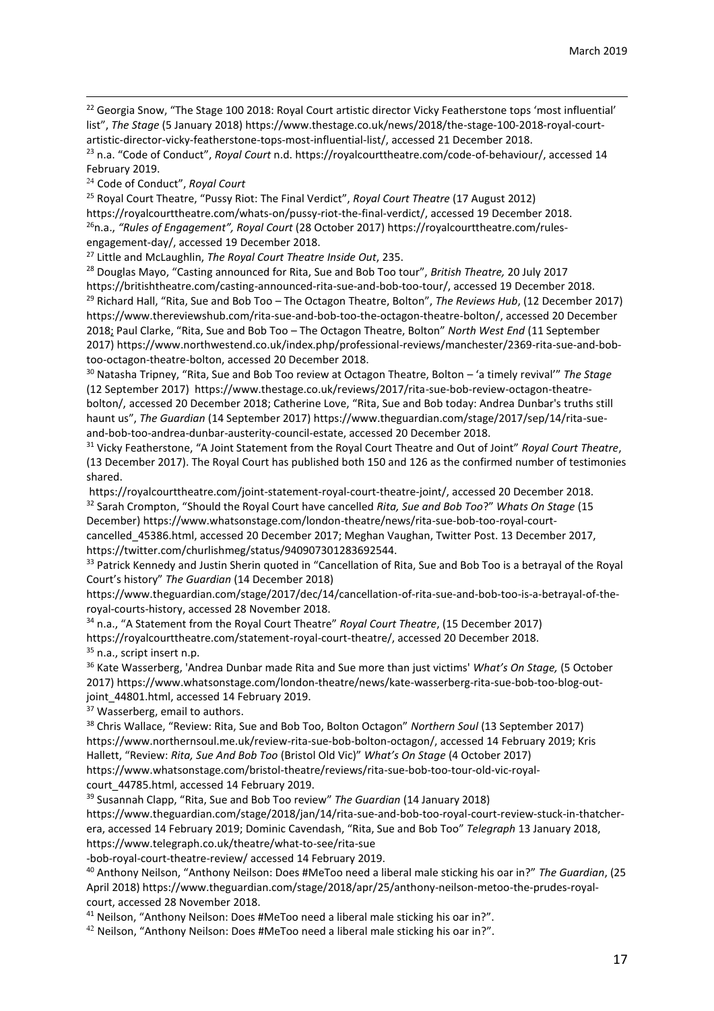<sup>22</sup> Georgia Snow, "The Stage 100 2018: Royal Court artistic director Vicky Featherstone tops 'most influential' list", *The Stage* (5 January 2018) https://www.thestage.co.uk/news/2018/the-stage-100-2018-royal-courtartistic-director-vicky-featherstone-tops-most-influential-list/, accessed 21 December 2018.

<sup>23</sup> n.a. "Code of Conduct", *Royal Court* n.d. https://royalcourttheatre.com/code-of-behaviour/, accessed 14 February 2019.

<sup>24</sup> Code of Conduct", *Royal Court*

<sup>25</sup> Royal Court Theatre, "Pussy Riot: The Final Verdict", *Royal Court Theatre* (17 August 2012) https://royalcourttheatre.com/whats-on/pussy-riot-the-final-verdict/, accessed 19 December 2018. <sup>26</sup>n.a., *"Rules of Engagement", Royal Court* (28 October 2017) https://royalcourttheatre.com/rulesengagement-day/, accessed 19 December 2018.

<sup>27</sup> Little and McLaughlin, *The Royal Court Theatre Inside Out*, 235.

<sup>28</sup> Douglas Mayo, "Casting announced for Rita, Sue and Bob Too tour", *British Theatre,* 20 July 2017 https://britishtheatre.com/casting-announced-rita-sue-and-bob-too-tour/, accessed 19 December 2018. <sup>29</sup> Richard Hall, "Rita, Sue and Bob Too – The Octagon Theatre, Bolton", *The Reviews Hub*, (12 December 2017) [https://www.thereviewshub.com/rita-sue-and-bob-too-the-octagon-theatre-bolton/,](https://www.thereviewshub.com/rita-sue-and-bob-too-the-octagon-theatre-bolton/) accessed 20 December 2018; Paul Clarke, "Rita, Sue and Bob Too – The Octagon Theatre, Bolton" *North West End* (11 September 2017) https://www.northwestend.co.uk/index.php/professional-reviews/manchester/2369-rita-sue-and-bobtoo-octagon-theatre-bolton, accessed 20 December 2018.

<sup>30</sup> Natasha Tripney, "Rita, Sue and Bob Too review at Octagon Theatre, Bolton – 'a timely revival'" *The Stage* (12 September 2017) https://www.thestage.co.uk/reviews/2017/rita-sue-bob-review-octagon-theatrebolton/, accessed 20 December 2018; Catherine Love, "Rita, Sue and Bob today: Andrea Dunbar's truths still haunt us", *The Guardian* (14 September 2017) https://www.theguardian.com/stage/2017/sep/14/rita-sueand-bob-too-andrea-dunbar-austerity-council-estate, accessed 20 December 2018.

<sup>31</sup> Vicky Featherstone, "A Joint Statement from the Royal Court Theatre and Out of Joint" *Royal Court Theatre*, (13 December 2017). The Royal Court has published both 150 and 126 as the confirmed number of testimonies shared.

https://royalcourttheatre.com/joint-statement-royal-court-theatre-joint/, accessed 20 December 2018. <sup>32</sup> Sarah Crompton, "Should the Royal Court have cancelled *Rita, Sue and Bob Too*?" *Whats On Stage* (15 December) https://www.whatsonstage.com/london-theatre/news/rita-sue-bob-too-royal-courtcancelled\_45386.html, accessed 20 December 2017; Meghan Vaughan, Twitter Post. 13 December 2017,

https://twitter.com/churlishmeg/status/940907301283692544.

33 Patrick Kennedy and Justin Sherin quoted in "Cancellation of Rita, Sue and Bob Too is a betrayal of the Royal Court's history" *The Guardian* (14 December 2018)

https://www.theguardian.com/stage/2017/dec/14/cancellation-of-rita-sue-and-bob-too-is-a-betrayal-of-theroyal-courts-history, accessed 28 November 2018.

<sup>34</sup> n.a., "A Statement from the Royal Court Theatre" *Royal Court Theatre*, (15 December 2017) https://royalcourttheatre.com/statement-royal-court-theatre/, accessed 20 December 2018. <sup>35</sup> n.a., script insert n.p.

<sup>36</sup> Kate Wasserberg, 'Andrea Dunbar made Rita and Sue more than just victims' *What's On Stage,* (5 October 2017) https://www.whatsonstage.com/london-theatre/news/kate-wasserberg-rita-sue-bob-too-blog-outjoint\_44801.html, accessed 14 February 2019.

<sup>37</sup> Wasserberg, email to authors.

<sup>38</sup> Chris Wallace, "Review: Rita, Sue and Bob Too, Bolton Octagon" *Northern Soul* (13 September 2017) https://www.northernsoul.me.uk/review-rita-sue-bob-bolton-octagon/, accessed 14 February 2019; Kris Hallett, "Review: *Rita, Sue And Bob Too* (Bristol Old Vic)" *What's On Stage* (4 October 2017) https://www.whatsonstage.com/bristol-theatre/reviews/rita-sue-bob-too-tour-old-vic-royalcourt\_44785.html, accessed 14 February 2019.

<sup>39</sup> Susannah Clapp, "Rita, Sue and Bob Too review" *The Guardian* (14 January 2018) https://www.theguardian.com/stage/2018/jan/14/rita-sue-and-bob-too-royal-court-review-stuck-in-thatcherera, accessed 14 February 2019; Dominic Cavendash, "Rita, Sue and Bob Too" *Telegraph* 13 January 2018, https://www.telegraph.co.uk/theatre/what-to-see/rita-sue

-bob-royal-court-theatre-review/ accessed 14 February 2019.

<sup>40</sup> Anthony Neilson, "Anthony Neilson: Does #MeToo need a liberal male sticking his oar in?" *The Guardian*, (25 April 2018) https://www.theguardian.com/stage/2018/apr/25/anthony-neilson-metoo-the-prudes-royalcourt, accessed 28 November 2018.

<sup>41</sup> Neilson, "Anthony Neilson: Does #MeToo need a liberal male sticking his oar in?".

<sup>42</sup> Neilson, "Anthony Neilson: Does #MeToo need a liberal male sticking his oar in?".